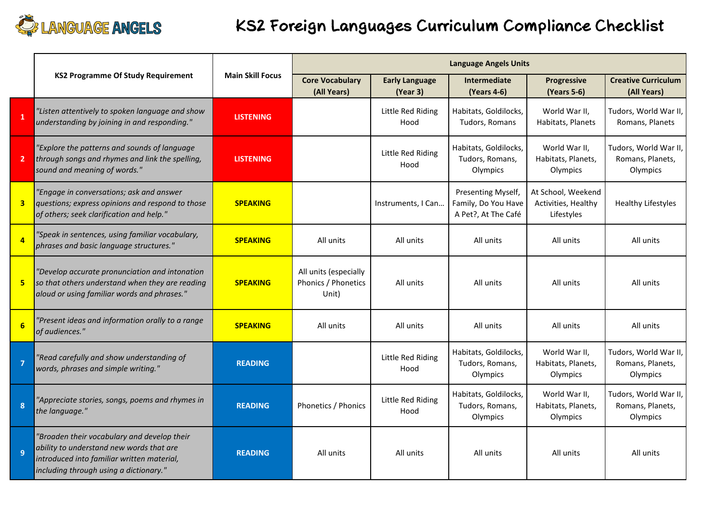

## **KS2 Foreign Languages Curriculum Compliance Checklist**

|                         | <b>KS2 Programme Of Study Requirement</b>                                                                                                                                       | <b>Main Skill Focus</b> | <b>Language Angels Units</b>                          |                                   |                                                                  |                                                         |                                                       |
|-------------------------|---------------------------------------------------------------------------------------------------------------------------------------------------------------------------------|-------------------------|-------------------------------------------------------|-----------------------------------|------------------------------------------------------------------|---------------------------------------------------------|-------------------------------------------------------|
|                         |                                                                                                                                                                                 |                         | <b>Core Vocabulary</b><br>(All Years)                 | <b>Early Language</b><br>(Year 3) | <b>Intermediate</b><br>(Years 4-6)                               | Progressive<br>(Years 5-6)                              | <b>Creative Curriculum</b><br>(All Years)             |
| $\mathbf{1}$            | "Listen attentively to spoken language and show<br>understanding by joining in and responding."                                                                                 | <b>LISTENING</b>        |                                                       | Little Red Riding<br>Hood         | Habitats, Goldilocks,<br>Tudors, Romans                          | World War II,<br>Habitats, Planets                      | Tudors, World War II,<br>Romans, Planets              |
| $\overline{2}$          | "Explore the patterns and sounds of language<br>through songs and rhymes and link the spelling,<br>sound and meaning of words."                                                 | <b>LISTENING</b>        |                                                       | Little Red Riding<br>Hood         | Habitats, Goldilocks,<br>Tudors, Romans,<br>Olympics             | World War II,<br>Habitats, Planets,<br>Olympics         | Tudors, World War II,<br>Romans, Planets,<br>Olympics |
| $\overline{\mathbf{3}}$ | "Engage in conversations; ask and answer<br>questions; express opinions and respond to those<br>of others; seek clarification and help."                                        | <b>SPEAKING</b>         |                                                       | Instruments, I Can                | Presenting Myself,<br>Family, Do You Have<br>A Pet?, At The Café | At School, Weekend<br>Activities, Healthy<br>Lifestyles | <b>Healthy Lifestyles</b>                             |
| $\overline{a}$          | "Speak in sentences, using familiar vocabulary,<br>phrases and basic language structures."                                                                                      | <b>SPEAKING</b>         | All units                                             | All units                         | All units                                                        | All units                                               | All units                                             |
| 5                       | "Develop accurate pronunciation and intonation<br>so that others understand when they are reading<br>aloud or using familiar words and phrases."                                | <b>SPEAKING</b>         | All units (especially<br>Phonics / Phonetics<br>Unit) | All units                         | All units                                                        | All units                                               | All units                                             |
| 6                       | "Present ideas and information orally to a range<br>of audiences."                                                                                                              | <b>SPEAKING</b>         | All units                                             | All units                         | All units                                                        | All units                                               | All units                                             |
| $\overline{7}$          | "Read carefully and show understanding of<br>words, phrases and simple writing."                                                                                                | <b>READING</b>          |                                                       | Little Red Riding<br>Hood         | Habitats, Goldilocks,<br>Tudors, Romans,<br>Olympics             | World War II,<br>Habitats, Planets,<br>Olympics         | Tudors, World War II,<br>Romans, Planets,<br>Olympics |
| $\boldsymbol{8}$        | "Appreciate stories, songs, poems and rhymes in<br>the language."                                                                                                               | <b>READING</b>          | Phonetics / Phonics                                   | Little Red Riding<br>Hood         | Habitats, Goldilocks,<br>Tudors, Romans,<br>Olympics             | World War II,<br>Habitats, Planets,<br>Olympics         | Tudors, World War II,<br>Romans, Planets,<br>Olympics |
| $\mathbf{q}$            | "Broaden their vocabulary and develop their<br>ability to understand new words that are<br>introduced into familiar written material,<br>including through using a dictionary." | <b>READING</b>          | All units                                             | All units                         | All units                                                        | All units                                               | All units                                             |